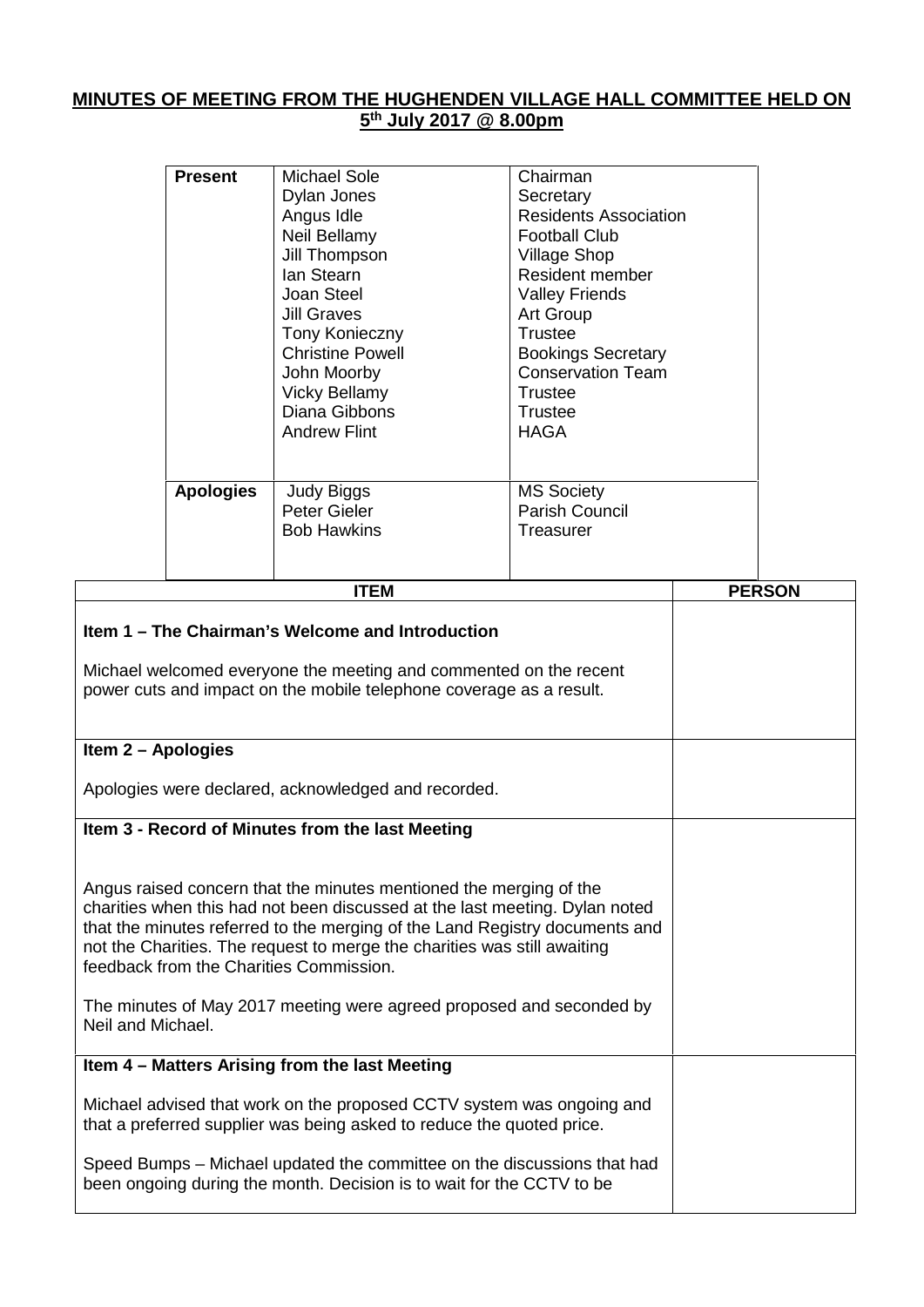## **MINUTES OF MEETING FROM THE HUGHENDEN VILLAGE HALL COMMITTEE HELD ON 5 th July 2017 @ 8.00pm**

| <b>Present</b>   | Michael Sole<br>Dylan Jones<br>Angus Idle<br>Neil Bellamy<br>Jill Thompson<br>lan Stearn<br>Joan Steel<br>Jill Graves<br><b>Tony Konieczny</b><br><b>Christine Powell</b><br>John Moorby<br><b>Vicky Bellamy</b><br>Diana Gibbons<br><b>Andrew Flint</b> | Chairman<br>Secretary<br><b>Residents Association</b><br><b>Football Club</b><br><b>Village Shop</b><br>Resident member<br><b>Valley Friends</b><br><b>Art Group</b><br>Trustee<br><b>Bookings Secretary</b><br><b>Conservation Team</b><br>Trustee<br>Trustee<br>HAGA |
|------------------|----------------------------------------------------------------------------------------------------------------------------------------------------------------------------------------------------------------------------------------------------------|------------------------------------------------------------------------------------------------------------------------------------------------------------------------------------------------------------------------------------------------------------------------|
| <b>Apologies</b> | <b>Judy Biggs</b><br>Peter Gieler<br><b>Bob Hawkins</b>                                                                                                                                                                                                  | <b>MS Society</b><br><b>Parish Council</b><br>Treasurer                                                                                                                                                                                                                |

 $\overline{1}$ 

| <b>PERSON</b> |
|---------------|
|               |
|               |
|               |
|               |
|               |
|               |
|               |
|               |
|               |
|               |
|               |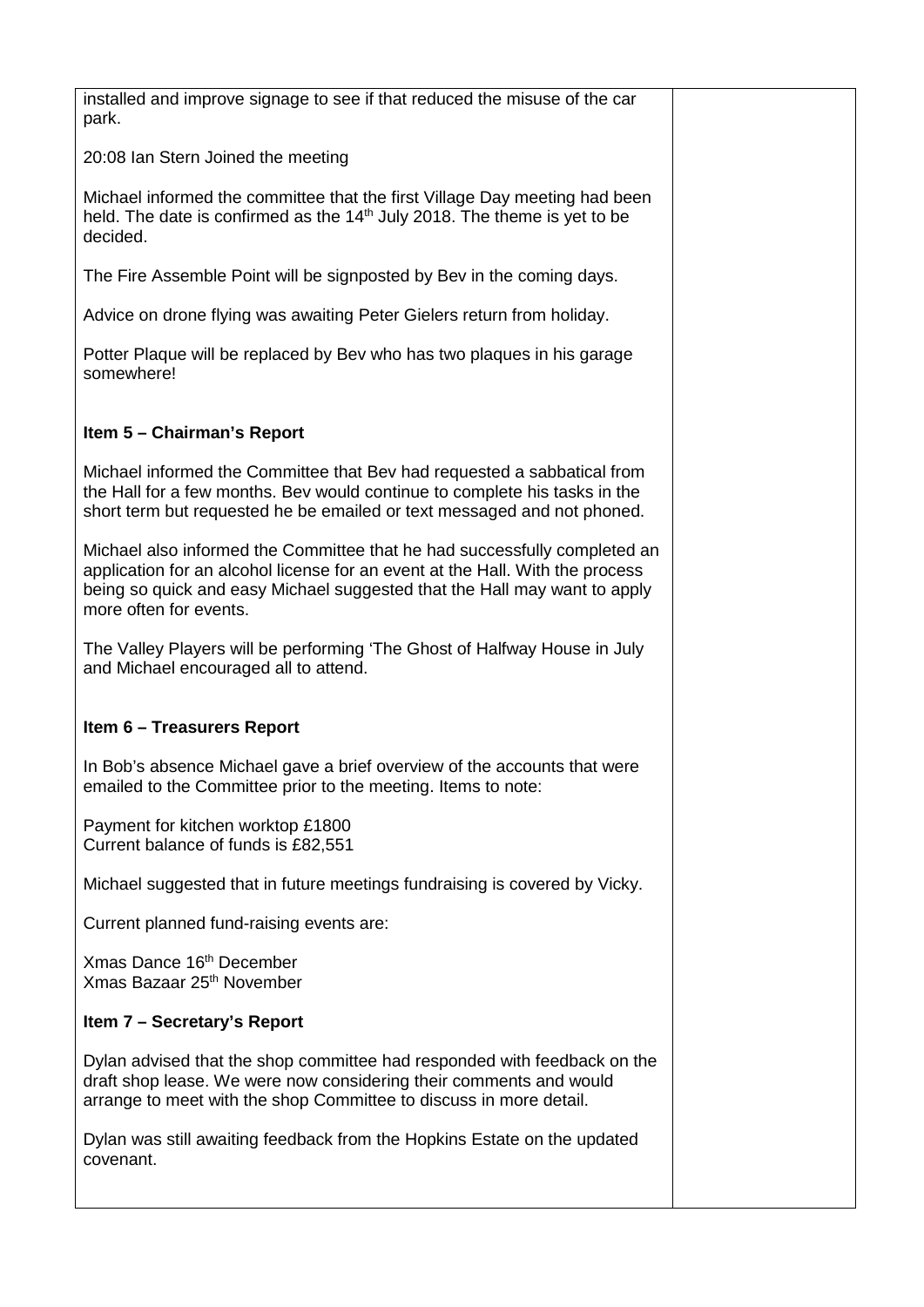installed and improve signage to see if that reduced the misuse of the car park.

20:08 Ian Stern Joined the meeting

Michael informed the committee that the first Village Day meeting had been held. The date is confirmed as the  $14<sup>th</sup>$  July 2018. The theme is yet to be decided.

The Fire Assemble Point will be signposted by Bev in the coming days.

Advice on drone flying was awaiting Peter Gielers return from holiday.

Potter Plaque will be replaced by Bev who has two plaques in his garage somewhere!

## **Item 5 – Chairman's Report**

Michael informed the Committee that Bev had requested a sabbatical from the Hall for a few months. Bev would continue to complete his tasks in the short term but requested he be emailed or text messaged and not phoned.

Michael also informed the Committee that he had successfully completed an application for an alcohol license for an event at the Hall. With the process being so quick and easy Michael suggested that the Hall may want to apply more often for events.

The Valley Players will be performing 'The Ghost of Halfway House in July and Michael encouraged all to attend.

## **Item 6 – Treasurers Report**

In Bob's absence Michael gave a brief overview of the accounts that were emailed to the Committee prior to the meeting. Items to note:

Payment for kitchen worktop £1800 Current balance of funds is £82,551

Michael suggested that in future meetings fundraising is covered by Vicky.

Current planned fund-raising events are:

Xmas Dance 16th December Xmas Bazaar 25th November

## **Item 7 – Secretary's Report**

Dylan advised that the shop committee had responded with feedback on the draft shop lease. We were now considering their comments and would arrange to meet with the shop Committee to discuss in more detail.

Dylan was still awaiting feedback from the Hopkins Estate on the updated covenant.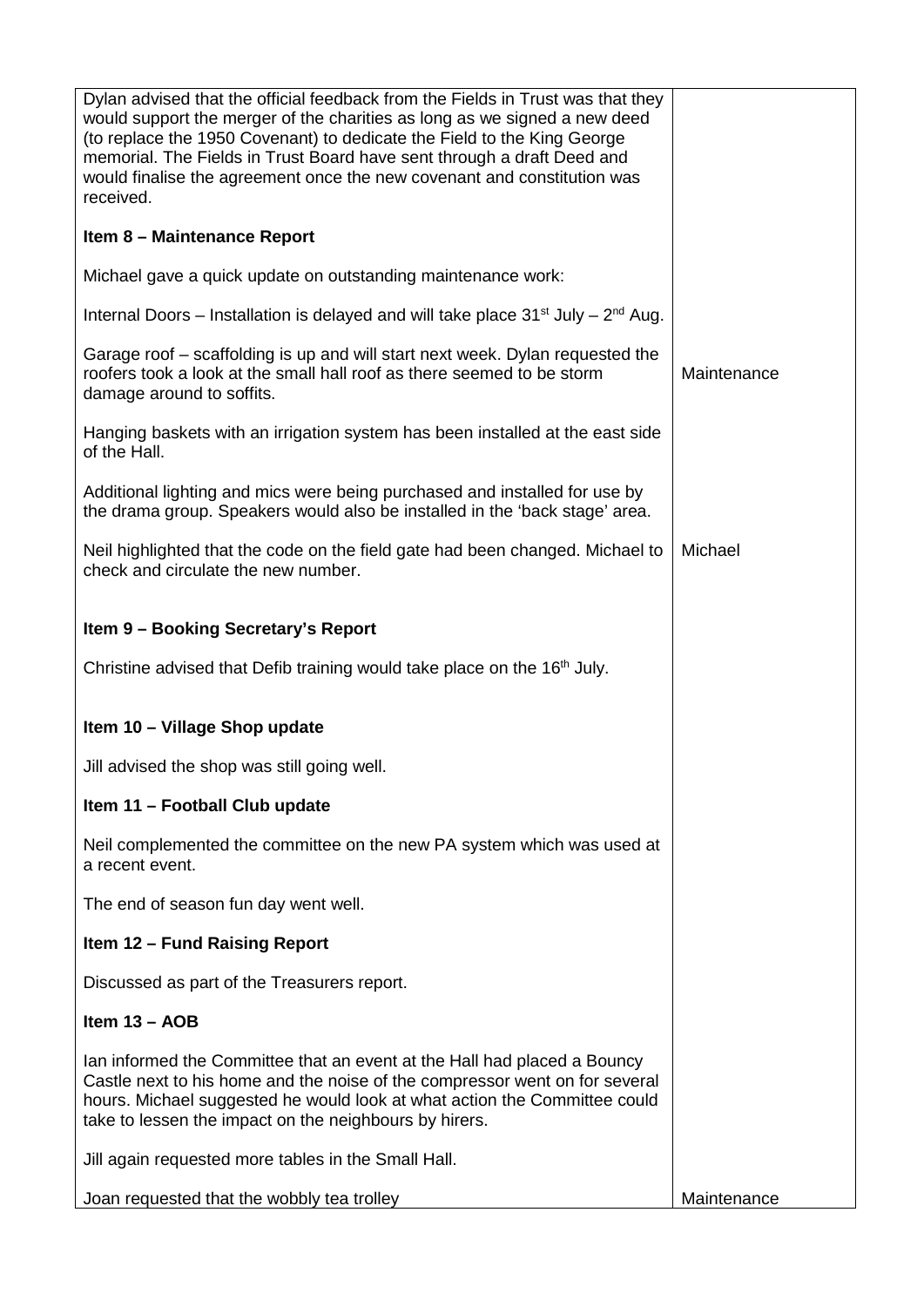| Dylan advised that the official feedback from the Fields in Trust was that they<br>would support the merger of the charities as long as we signed a new deed<br>(to replace the 1950 Covenant) to dedicate the Field to the King George<br>memorial. The Fields in Trust Board have sent through a draft Deed and<br>would finalise the agreement once the new covenant and constitution was<br>received. |             |
|-----------------------------------------------------------------------------------------------------------------------------------------------------------------------------------------------------------------------------------------------------------------------------------------------------------------------------------------------------------------------------------------------------------|-------------|
| Item 8 - Maintenance Report                                                                                                                                                                                                                                                                                                                                                                               |             |
| Michael gave a quick update on outstanding maintenance work:                                                                                                                                                                                                                                                                                                                                              |             |
| Internal Doors – Installation is delayed and will take place $31^{st}$ July – $2^{nd}$ Aug.                                                                                                                                                                                                                                                                                                               |             |
| Garage roof – scaffolding is up and will start next week. Dylan requested the<br>roofers took a look at the small hall roof as there seemed to be storm<br>damage around to soffits.                                                                                                                                                                                                                      | Maintenance |
| Hanging baskets with an irrigation system has been installed at the east side<br>of the Hall.                                                                                                                                                                                                                                                                                                             |             |
| Additional lighting and mics were being purchased and installed for use by<br>the drama group. Speakers would also be installed in the 'back stage' area.                                                                                                                                                                                                                                                 |             |
| Neil highlighted that the code on the field gate had been changed. Michael to<br>check and circulate the new number.                                                                                                                                                                                                                                                                                      | Michael     |
| Item 9 - Booking Secretary's Report                                                                                                                                                                                                                                                                                                                                                                       |             |
| Christine advised that Defib training would take place on the 16 <sup>th</sup> July.                                                                                                                                                                                                                                                                                                                      |             |
| Item 10 - Village Shop update                                                                                                                                                                                                                                                                                                                                                                             |             |
| Jill advised the shop was still going well.                                                                                                                                                                                                                                                                                                                                                               |             |
| Item 11 - Football Club update                                                                                                                                                                                                                                                                                                                                                                            |             |
| Neil complemented the committee on the new PA system which was used at<br>a recent event.                                                                                                                                                                                                                                                                                                                 |             |
| The end of season fun day went well.                                                                                                                                                                                                                                                                                                                                                                      |             |
| <b>Item 12 - Fund Raising Report</b>                                                                                                                                                                                                                                                                                                                                                                      |             |
| Discussed as part of the Treasurers report.                                                                                                                                                                                                                                                                                                                                                               |             |
| Item $13 - AOB$                                                                                                                                                                                                                                                                                                                                                                                           |             |
| Ian informed the Committee that an event at the Hall had placed a Bouncy<br>Castle next to his home and the noise of the compressor went on for several<br>hours. Michael suggested he would look at what action the Committee could<br>take to lessen the impact on the neighbours by hirers.                                                                                                            |             |
| Jill again requested more tables in the Small Hall.                                                                                                                                                                                                                                                                                                                                                       |             |
| Joan requested that the wobbly tea trolley                                                                                                                                                                                                                                                                                                                                                                | Maintenance |